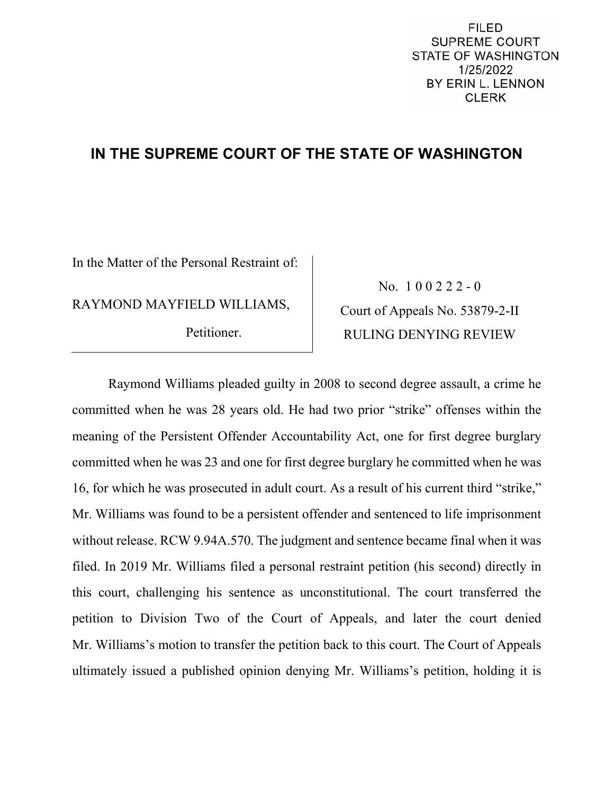## **IN THE SUPREME COURT OF THE STATE OF WASHINGTON**

In the Matter of the Personal Restraint of:

RAYMOND MAYFIELD WILLIAMS,

Petitioner.

No. 1 0 0 2 2 2 - 0 Court of Appeals No. 53879-2-II RULING DENYING REVIEW

Raymond Williams pleaded guilty in 2008 to second degree assault, a crime he committed when he was 28 years old. He had two prior "strike" offenses within the meaning of the Persistent Offender Accountability Act, one for first degree burglary committed when he was 23 and one for first degree burglary he committed when he was 16, for which he was prosecuted in adult court. As a result of his current third "strike," Mr. Williams was found to be a persistent offender and sentenced to life imprisonment without release. RCW 9.94A.570. The judgment and sentence became final when it was filed. In 2019 Mr. Williams filed a personal restraint petition (his second) directly in this court, challenging his sentence as unconstitutional. The court transferred the petition to Division Two of the Court of Appeals, and later the court denied Mr. Williams's motion to transfer the petition back to this court. The Court of Appeals ultimately issued a published opinion denying Mr. Williams's petition, holding it is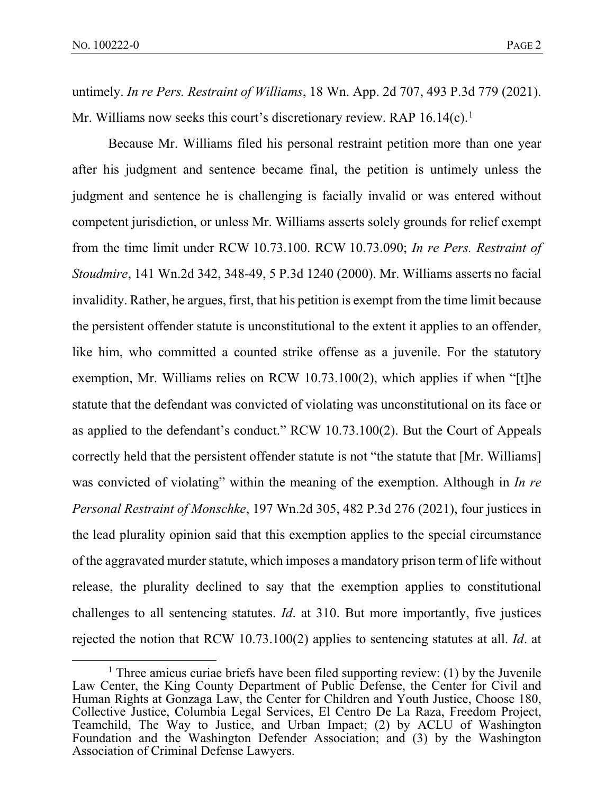untimely. *In re Pers. Restraint of Williams*, 18 Wn. App. 2d 707, 493 P.3d 779 (2021). Mr. Williams now seeks this court's discretionary review. RAP  $16.14(c)$  $16.14(c)$ .<sup>1</sup>

Because Mr. Williams filed his personal restraint petition more than one year after his judgment and sentence became final, the petition is untimely unless the judgment and sentence he is challenging is facially invalid or was entered without competent jurisdiction, or unless Mr. Williams asserts solely grounds for relief exempt from the time limit under RCW 10.73.100. RCW 10.73.090; *In re Pers. Restraint of Stoudmire*, 141 Wn.2d 342, 348-49, 5 P.3d 1240 (2000). Mr. Williams asserts no facial invalidity. Rather, he argues, first, that his petition is exempt from the time limit because the persistent offender statute is unconstitutional to the extent it applies to an offender, like him, who committed a counted strike offense as a juvenile. For the statutory exemption, Mr. Williams relies on RCW 10.73.100(2), which applies if when "[t]he statute that the defendant was convicted of violating was unconstitutional on its face or as applied to the defendant's conduct." RCW 10.73.100(2). But the Court of Appeals correctly held that the persistent offender statute is not "the statute that [Mr. Williams] was convicted of violating" within the meaning of the exemption. Although in *In re Personal Restraint of Monschke*, 197 Wn.2d 305, 482 P.3d 276 (2021), four justices in the lead plurality opinion said that this exemption applies to the special circumstance of the aggravated murder statute, which imposes a mandatory prison term of life without release, the plurality declined to say that the exemption applies to constitutional challenges to all sentencing statutes. *Id*. at 310. But more importantly, five justices rejected the notion that RCW 10.73.100(2) applies to sentencing statutes at all. *Id*. at

<span id="page-1-0"></span><sup>&</sup>lt;sup>1</sup> Three amicus curiae briefs have been filed supporting review: (1) by the Juvenile Law Center, the King County Department of Public Defense, the Center for Civil and Human Rights at Gonzaga Law, the Center for Children and Youth Justice, Choose 180, Collective Justice, Columbia Legal Services, El Centro De La Raza, Freedom Project, Teamchild, The Way to Justice, and Urban Impact; (2) by ACLU of Washington Foundation and the Washington Defender Association; and (3) by the Washington Association of Criminal Defense Lawyers.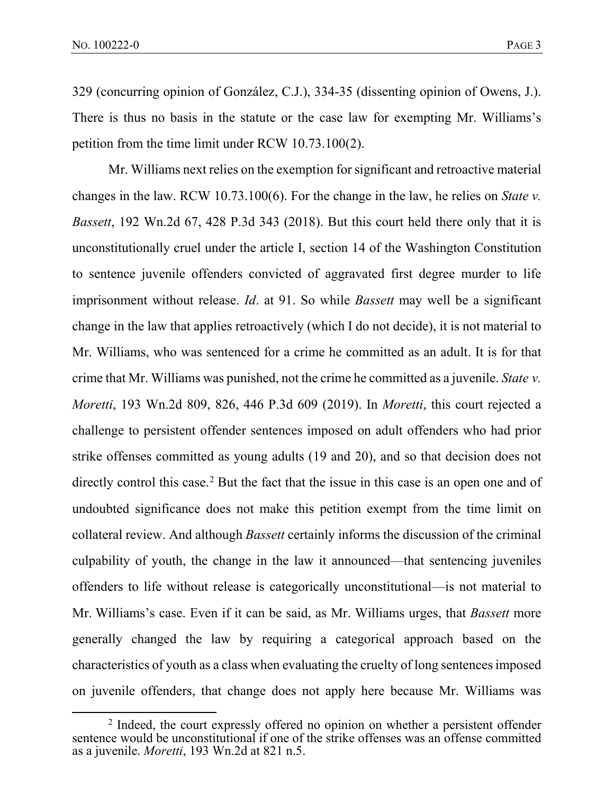329 (concurring opinion of González, C.J.), 334-35 (dissenting opinion of Owens, J.). There is thus no basis in the statute or the case law for exempting Mr. Williams's petition from the time limit under RCW 10.73.100(2).

Mr. Williams next relies on the exemption for significant and retroactive material changes in the law. RCW 10.73.100(6). For the change in the law, he relies on *State v. Bassett*, 192 Wn.2d 67, 428 P.3d 343 (2018). But this court held there only that it is unconstitutionally cruel under the article I, section 14 of the Washington Constitution to sentence juvenile offenders convicted of aggravated first degree murder to life imprisonment without release. *Id*. at 91. So while *Bassett* may well be a significant change in the law that applies retroactively (which I do not decide), it is not material to Mr. Williams, who was sentenced for a crime he committed as an adult. It is for that crime that Mr. Williams was punished, not the crime he committed as a juvenile. *State v. Moretti*, 193 Wn.2d 809, 826, 446 P.3d 609 (2019). In *Moretti*, this court rejected a challenge to persistent offender sentences imposed on adult offenders who had prior strike offenses committed as young adults (19 and 20), and so that decision does not directly control this case.<sup>[2](#page-2-0)</sup> But the fact that the issue in this case is an open one and of undoubted significance does not make this petition exempt from the time limit on collateral review. And although *Bassett* certainly informs the discussion of the criminal culpability of youth, the change in the law it announced—that sentencing juveniles offenders to life without release is categorically unconstitutional—is not material to Mr. Williams's case. Even if it can be said, as Mr. Williams urges, that *Bassett* more generally changed the law by requiring a categorical approach based on the characteristics of youth as a class when evaluating the cruelty of long sentences imposed on juvenile offenders, that change does not apply here because Mr. Williams was

<span id="page-2-0"></span><sup>&</sup>lt;sup>2</sup> Indeed, the court expressly offered no opinion on whether a persistent offender sentence would be unconstitutional if one of the strike offenses was an offense committed as a juvenile. *Moretti*, 193 Wn.2d at 821 n.5.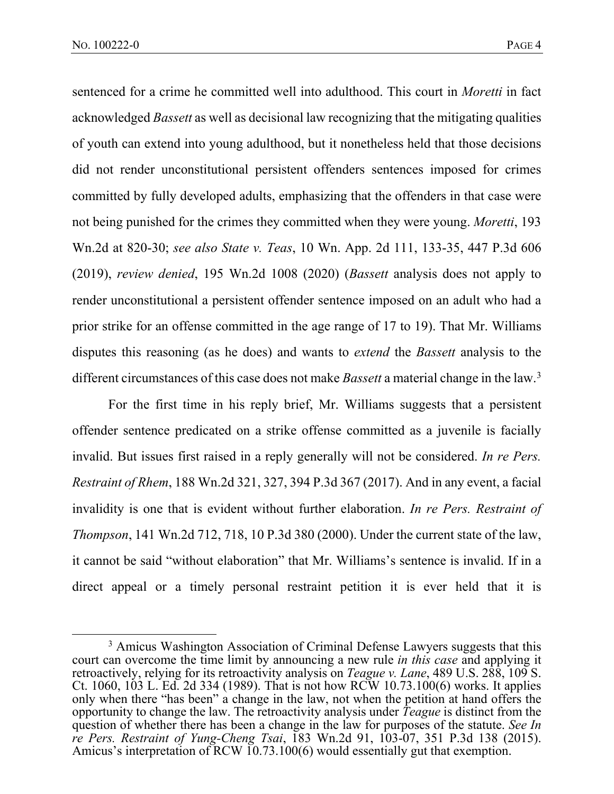sentenced for a crime he committed well into adulthood. This court in *Moretti* in fact acknowledged *Bassett* as well as decisional law recognizing that the mitigating qualities of youth can extend into young adulthood, but it nonetheless held that those decisions did not render unconstitutional persistent offenders sentences imposed for crimes committed by fully developed adults, emphasizing that the offenders in that case were not being punished for the crimes they committed when they were young. *Moretti*, 193 Wn.2d at 820-30; *see also State v. Teas*, 10 Wn. App. 2d 111, 133-35, 447 P.3d 606 (2019), *review denied*, 195 Wn.2d 1008 (2020) (*Bassett* analysis does not apply to render unconstitutional a persistent offender sentence imposed on an adult who had a prior strike for an offense committed in the age range of 17 to 19). That Mr. Williams disputes this reasoning (as he does) and wants to *extend* the *Bassett* analysis to the different circumstances of this case does not make *Bassett* a material change in the law.[3](#page-3-0)

For the first time in his reply brief, Mr. Williams suggests that a persistent offender sentence predicated on a strike offense committed as a juvenile is facially invalid. But issues first raised in a reply generally will not be considered. *In re Pers. Restraint of Rhem*, 188 Wn.2d 321, 327, 394 P.3d 367 (2017). And in any event, a facial invalidity is one that is evident without further elaboration. *In re Pers. Restraint of Thompson*, 141 Wn.2d 712, 718, 10 P.3d 380 (2000). Under the current state of the law, it cannot be said "without elaboration" that Mr. Williams's sentence is invalid. If in a direct appeal or a timely personal restraint petition it is ever held that it is

<span id="page-3-0"></span><sup>&</sup>lt;sup>3</sup> Amicus Washington Association of Criminal Defense Lawyers suggests that this court can overcome the time limit by announcing a new rule *in this case* and applying it retroactively, relying for its retroactivity analysis on *Teague v. Lane*, 489 U.S. 288, 109 S. Ct. 1060, 103 L. Ed. 2d 334 (1989). That is not how RCW 10.73.100(6) works. It applies only when there "has been" a change in the law, not when the petition at hand offers the opportunity to change the law. The retroactivity analysis under *Teague* is distinct from the question of whether there has been a change in the law for purposes of the statute. *See In re Pers. Restraint of Yung-Cheng Tsai*, 183 Wn.2d 91, 103-07, 351 P.3d 138 (2015). Amicus's interpretation of RCW 10.73.100(6) would essentially gut that exemption.